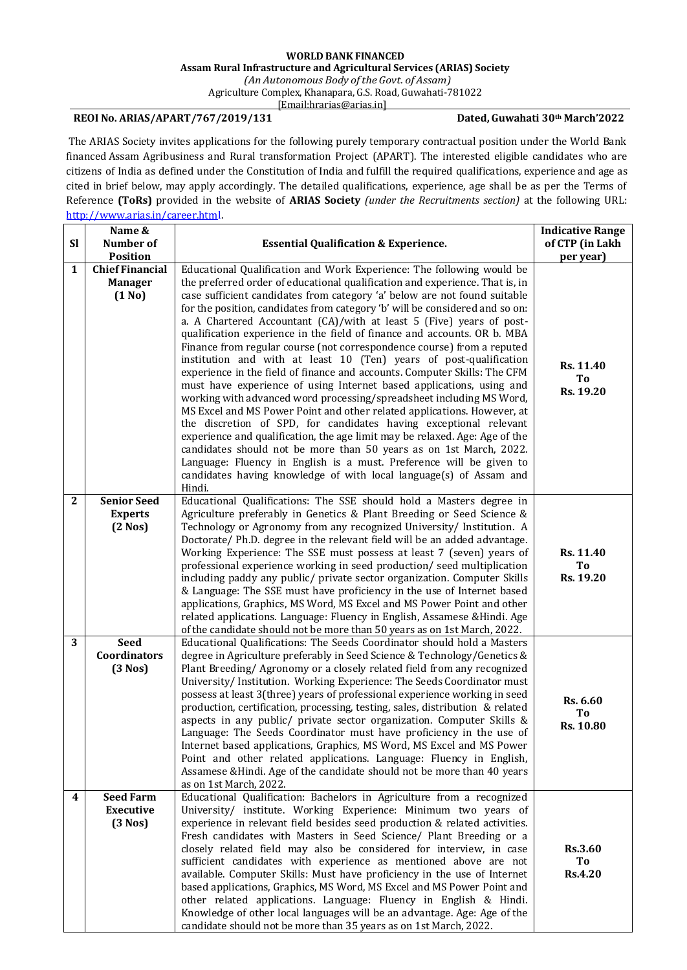## **WORLD BANK FINANCED Assam Rural Infrastructure and Agricultural Services (ARIAS) Society**

*(An Autonomous Body oftheGovt. of Assam)*

Agriculture Complex, Khanapara, G.S. Road, Guwahati-781022

[\[Email:hrarias@arias.in\]](mailto:recruitments@arias.in)

## **REOI No. ARIAS/APART/767/2019/131 Dated, Guwahati 30th March'2022**

The ARIAS Society invites applications for the following purely temporary contractual position under the World Bank financed Assam Agribusiness and Rural transformation Project (APART). The interested eligible candidates who are citizens of India as defined under the Constitution of India and fulfill the required qualifications, experience and age as cited in brief below, may apply accordingly. The detailed qualifications, experience, age shall be as per the Terms of Reference **(ToRs)** provided in the website of **ARIAS Society** *(under the Recruitments section)* at the following URL: [http://www.arias.in/career.html.](http://www.arias.in/career.html)

| <b>Sl</b>    | Name &<br>Number of                                | <b>Essential Qualification &amp; Experience.</b>                                                                                                                                                                                                                                                                                                                                                                                                                                                                                                                                                                                                                                                                                                                                                                                                                                                                                                                                                                                                                                                                                                                                                                                                                                                                | <b>Indicative Range</b><br>of CTP (in Lakh |
|--------------|----------------------------------------------------|-----------------------------------------------------------------------------------------------------------------------------------------------------------------------------------------------------------------------------------------------------------------------------------------------------------------------------------------------------------------------------------------------------------------------------------------------------------------------------------------------------------------------------------------------------------------------------------------------------------------------------------------------------------------------------------------------------------------------------------------------------------------------------------------------------------------------------------------------------------------------------------------------------------------------------------------------------------------------------------------------------------------------------------------------------------------------------------------------------------------------------------------------------------------------------------------------------------------------------------------------------------------------------------------------------------------|--------------------------------------------|
|              | <b>Position</b>                                    |                                                                                                                                                                                                                                                                                                                                                                                                                                                                                                                                                                                                                                                                                                                                                                                                                                                                                                                                                                                                                                                                                                                                                                                                                                                                                                                 | per year)                                  |
| $\mathbf{1}$ | <b>Chief Financial</b><br><b>Manager</b><br>(1 No) | Educational Qualification and Work Experience: The following would be<br>the preferred order of educational qualification and experience. That is, in<br>case sufficient candidates from category 'a' below are not found suitable<br>for the position, candidates from category 'b' will be considered and so on:<br>a. A Chartered Accountant (CA)/with at least 5 (Five) years of post-<br>qualification experience in the field of finance and accounts. OR b. MBA<br>Finance from regular course (not correspondence course) from a reputed<br>institution and with at least 10 (Ten) years of post-qualification<br>experience in the field of finance and accounts. Computer Skills: The CFM<br>must have experience of using Internet based applications, using and<br>working with advanced word processing/spreadsheet including MS Word,<br>MS Excel and MS Power Point and other related applications. However, at<br>the discretion of SPD, for candidates having exceptional relevant<br>experience and qualification, the age limit may be relaxed. Age: Age of the<br>candidates should not be more than 50 years as on 1st March, 2022.<br>Language: Fluency in English is a must. Preference will be given to<br>candidates having knowledge of with local language(s) of Assam and<br>Hindi. | Rs. 11.40<br>To<br>Rs. 19.20               |
| $\mathbf{2}$ | <b>Senior Seed</b><br><b>Experts</b><br>(2 Nos)    | Educational Qualifications: The SSE should hold a Masters degree in<br>Agriculture preferably in Genetics & Plant Breeding or Seed Science &<br>Technology or Agronomy from any recognized University/ Institution. A<br>Doctorate/ Ph.D. degree in the relevant field will be an added advantage.<br>Working Experience: The SSE must possess at least 7 (seven) years of<br>professional experience working in seed production/ seed multiplication<br>including paddy any public/ private sector organization. Computer Skills<br>& Language: The SSE must have proficiency in the use of Internet based<br>applications, Graphics, MS Word, MS Excel and MS Power Point and other<br>related applications. Language: Fluency in English, Assamese & Hindi. Age<br>of the candidate should not be more than 50 years as on 1st March, 2022.                                                                                                                                                                                                                                                                                                                                                                                                                                                                  | Rs. 11.40<br>To<br>Rs. 19.20               |
| 3            | <b>Seed</b><br><b>Coordinators</b><br>$(3$ Nos $)$ | Educational Qualifications: The Seeds Coordinator should hold a Masters<br>degree in Agriculture preferably in Seed Science & Technology/Genetics &<br>Plant Breeding/ Agronomy or a closely related field from any recognized<br>University/ Institution. Working Experience: The Seeds Coordinator must<br>possess at least 3(three) years of professional experience working in seed<br>production, certification, processing, testing, sales, distribution & related<br>aspects in any public/ private sector organization. Computer Skills &<br>Language: The Seeds Coordinator must have proficiency in the use of<br>Internet based applications, Graphics, MS Word, MS Excel and MS Power<br>Point and other related applications. Language: Fluency in English,<br>Assamese & Hindi. Age of the candidate should not be more than 40 years<br>as on 1st March, 2022.                                                                                                                                                                                                                                                                                                                                                                                                                                   | Rs. 6.60<br>To<br>Rs. 10.80                |
| 4            | <b>Seed Farm</b><br><b>Executive</b><br>(3 Nos)    | Educational Qualification: Bachelors in Agriculture from a recognized<br>University/ institute. Working Experience: Minimum two years of<br>experience in relevant field besides seed production & related activities.<br>Fresh candidates with Masters in Seed Science/ Plant Breeding or a<br>closely related field may also be considered for interview, in case<br>sufficient candidates with experience as mentioned above are not<br>available. Computer Skills: Must have proficiency in the use of Internet<br>based applications, Graphics, MS Word, MS Excel and MS Power Point and<br>other related applications. Language: Fluency in English & Hindi.<br>Knowledge of other local languages will be an advantage. Age: Age of the<br>candidate should not be more than 35 years as on 1st March, 2022.                                                                                                                                                                                                                                                                                                                                                                                                                                                                                             | <b>Rs.3.60</b><br>To<br><b>Rs.4.20</b>     |